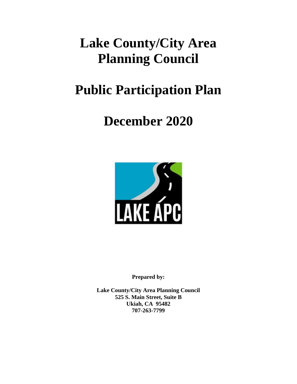# **Lake County/City Area Planning Council**

# **Public Participation Plan**

# **December 2020**



**Prepared by:**

**Lake County/City Area Planning Council 525 S. Main Street, Suite B Ukiah, CA 95482 707-263-7799**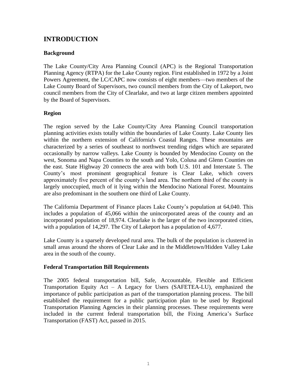## **INTRODUCTION**

### **Background**

The Lake County/City Area Planning Council (APC) is the Regional Transportation Planning Agency (RTPA) for the Lake County region. First established in 1972 by a Joint Powers Agreement, the LC/CAPC now consists of eight members—two members of the Lake County Board of Supervisors, two council members from the City of Lakeport, two council members from the City of Clearlake, and two at large citizen members appointed by the Board of Supervisors.

### **Region**

The region served by the Lake County/City Area Planning Council transportation planning activities exists totally within the boundaries of Lake County. Lake County lies within the northern extension of California's Coastal Ranges. These mountains are characterized by a series of southeast to northwest trending ridges which are separated occasionally by narrow valleys. Lake County is bounded by Mendocino County on the west, Sonoma and Napa Counties to the south and Yolo, Colusa and Glenn Counties on the east. State Highway 20 connects the area with both U.S. 101 and Interstate 5. The County's most prominent geographical feature is Clear Lake, which covers approximately five percent of the county's land area. The northern third of the county is largely unoccupied, much of it lying within the Mendocino National Forest. Mountains are also predominant in the southern one third of Lake County.

The California Department of Finance places Lake County's population at 64,040. This includes a population of 45,066 within the unincorporated areas of the county and an incorporated population of 18,974. Clearlake is the larger of the two incorporated cities, with a population of 14,297. The City of Lakeport has a population of 4,677.

Lake County is a sparsely developed rural area. The bulk of the population is clustered in small areas around the shores of Clear Lake and in the Middletown/Hidden Valley Lake area in the south of the county.

### **Federal Transportation Bill Requirements**

The 2005 federal transportation bill, Safe, Accountable, Flexible and Efficient Transportation Equity Act – A Legacy for Users (SAFETEA-LU), emphasized the importance of public participation as part of the transportation planning process. The bill established the requirement for a public participation plan to be used by Regional Transportation Planning Agencies in their planning processes. These requirements were included in the current federal transportation bill, the Fixing America's Surface Transportation (FAST) Act, passed in 2015.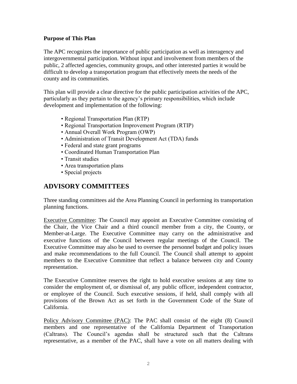#### **Purpose of This Plan**

The APC recognizes the importance of public participation as well as interagency and intergovernmental participation. Without input and involvement from members of the public, 2 affected agencies, community groups, and other interested parties it would be difficult to develop a transportation program that effectively meets the needs of the county and its communities.

This plan will provide a clear directive for the public participation activities of the APC, particularly as they pertain to the agency's primary responsibilities, which include development and implementation of the following:

- Regional Transportation Plan (RTP)
- Regional Transportation Improvement Program (RTIP)
- Annual Overall Work Program (OWP)
- Administration of Transit Development Act (TDA) funds
- Federal and state grant programs
- Coordinated Human Transportation Plan
- Transit studies
- Area transportation plans
- Special projects

## **ADVISORY COMMITTEES**

Three standing committees aid the Area Planning Council in performing its transportation planning functions.

Executive Committee: The Council may appoint an Executive Committee consisting of the Chair, the Vice Chair and a third council member from a city, the County, or Member-at-Large. The Executive Committee may carry on the administrative and executive functions of the Council between regular meetings of the Council. The Executive Committee may also be used to oversee the personnel budget and policy issues and make recommendations to the full Council. The Council shall attempt to appoint members to the Executive Committee that reflect a balance between city and County representation.

The Executive Committee reserves the right to hold executive sessions at any time to consider the employment of, or dismissal of, any public officer, independent contractor, or employee of the Council. Such executive sessions, if held, shall comply with all provisions of the Brown Act as set forth in the Government Code of the State of California.

Policy Advisory Committee (PAC): The PAC shall consist of the eight (8) Council members and one representative of the California Department of Transportation (Caltrans). The Council's agendas shall be structured such that the Caltrans representative, as a member of the PAC, shall have a vote on all matters dealing with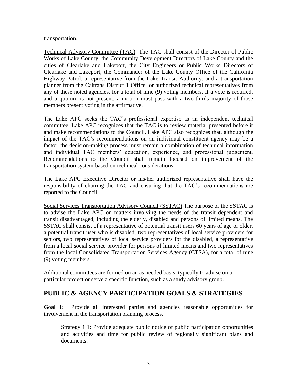transportation.

Technical Advisory Committee (TAC): The TAC shall consist of the Director of Public Works of Lake County, the Community Development Directors of Lake County and the cities of Clearlake and Lakeport, the City Engineers or Public Works Directors of Clearlake and Lakeport, the Commander of the Lake County Office of the California Highway Patrol, a representative from the Lake Transit Authority, and a transportation planner from the Caltrans District 1 Office, or authorized technical representatives from any of these noted agencies, for a total of nine (9) voting members. If a vote is required, and a quorum is not present, a motion must pass with a two-thirds majority of those members present voting in the affirmative.

The Lake APC seeks the TAC's professional expertise as an independent technical committee. Lake APC recognizes that the TAC is to review material presented before it and make recommendations to the Council. Lake APC also recognizes that, although the impact of the TAC's recommendations on an individual constituent agency may be a factor, the decision-making process must remain a combination of technical information and individual TAC members' education, experience, and professional judgement. Recommendations to the Council shall remain focused on improvement of the transportation system based on technical considerations.

The Lake APC Executive Director or his/her authorized representative shall have the responsibility of chairing the TAC and ensuring that the TAC's recommendations are reported to the Council.

Social Services Transportation Advisory Council (SSTAC) The purpose of the SSTAC is to advise the Lake APC on matters involving the needs of the transit dependent and transit disadvantaged, including the elderly, disabled and persons of limited means. The SSTAC shall consist of a representative of potential transit users 60 years of age or older, a potential transit user who is disabled, two representatives of local service providers for seniors, two representatives of local service providers for the disabled, a representative from a local social service provider for persons of limited means and two representatives from the local Consolidated Transportation Services Agency (CTSA), for a total of nine (9) voting members.

Additional committees are formed on an as needed basis, typically to advise on a particular project or serve a specific function, such as a study advisory group.

## **PUBLIC & AGENCY PARTICIPATION GOALS & STRATEGIES**

**Goal 1:** Provide all interested parties and agencies reasonable opportunities for involvement in the transportation planning process.

Strategy 1.1: Provide adequate public notice of public participation opportunities and activities and time for public review of regionally significant plans and documents.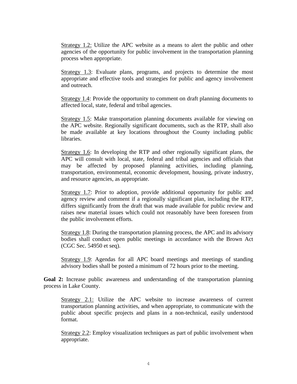Strategy 1.2: Utilize the APC website as a means to alert the public and other agencies of the opportunity for public involvement in the transportation planning process when appropriate.

Strategy 1.3: Evaluate plans, programs, and projects to determine the most appropriate and effective tools and strategies for public and agency involvement and outreach.

Strategy 1.4: Provide the opportunity to comment on draft planning documents to affected local, state, federal and tribal agencies.

Strategy 1.5: Make transportation planning documents available for viewing on the APC website. Regionally significant documents, such as the RTP, shall also be made available at key locations throughout the County including public libraries.

Strategy 1.6: In developing the RTP and other regionally significant plans, the APC will consult with local, state, federal and tribal agencies and officials that may be affected by proposed planning activities, including planning, transportation, environmental, economic development, housing, private industry, and resource agencies, as appropriate.

Strategy 1.7: Prior to adoption, provide additional opportunity for public and agency review and comment if a regionally significant plan, including the RTP, differs significantly from the draft that was made available for public review and raises new material issues which could not reasonably have been foreseen from the public involvement efforts.

Strategy 1.8: During the transportation planning process, the APC and its advisory bodies shall conduct open public meetings in accordance with the Brown Act (CGC Sec. 54950 et seq).

Strategy 1.9: Agendas for all APC board meetings and meetings of standing advisory bodies shall be posted a minimum of 72 hours prior to the meeting.

**Goal 2:** Increase public awareness and understanding of the transportation planning process in Lake County.

Strategy 2.1: Utilize the APC website to increase awareness of current transportation planning activities, and when appropriate, to communicate with the public about specific projects and plans in a non-technical, easily understood format.

Strategy 2.2: Employ visualization techniques as part of public involvement when appropriate.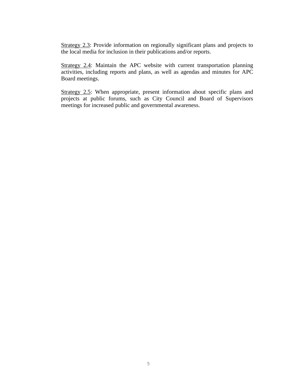Strategy 2.3: Provide information on regionally significant plans and projects to the local media for inclusion in their publications and/or reports.

Strategy 2.4: Maintain the APC website with current transportation planning activities, including reports and plans, as well as agendas and minutes for APC Board meetings.

Strategy 2.5: When appropriate, present information about specific plans and projects at public forums, such as City Council and Board of Supervisors meetings for increased public and governmental awareness.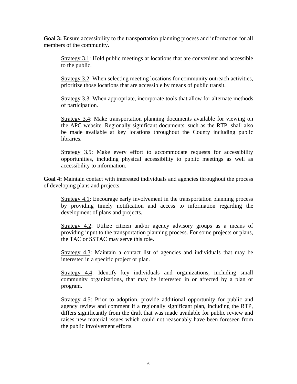**Goal 3:** Ensure accessibility to the transportation planning process and information for all members of the community.

Strategy 3.1: Hold public meetings at locations that are convenient and accessible to the public.

Strategy 3.2: When selecting meeting locations for community outreach activities, prioritize those locations that are accessible by means of public transit.

Strategy 3.3: When appropriate, incorporate tools that allow for alternate methods of participation.

Strategy 3.4: Make transportation planning documents available for viewing on the APC website. Regionally significant documents, such as the RTP, shall also be made available at key locations throughout the County including public libraries.

Strategy 3.5: Make every effort to accommodate requests for accessibility opportunities, including physical accessibility to public meetings as well as accessibility to information.

**Goal 4:** Maintain contact with interested individuals and agencies throughout the process of developing plans and projects.

Strategy 4.1: Encourage early involvement in the transportation planning process by providing timely notification and access to information regarding the development of plans and projects.

Strategy 4.2: Utilize citizen and/or agency advisory groups as a means of providing input to the transportation planning process. For some projects or plans, the TAC or SSTAC may serve this role.

Strategy 4.3: Maintain a contact list of agencies and individuals that may be interested in a specific project or plan.

Strategy 4.4: Identify key individuals and organizations, including small community organizations, that may be interested in or affected by a plan or program.

Strategy 4.5: Prior to adoption, provide additional opportunity for public and agency review and comment if a regionally significant plan, including the RTP, differs significantly from the draft that was made available for public review and raises new material issues which could not reasonably have been foreseen from the public involvement efforts.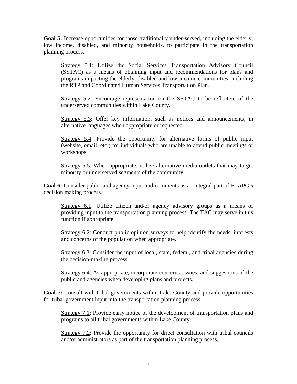Goal 5: Increase opportunities for those traditionally under-served, including the elderly, low income, disabled, and minority households, to participate in the transportation planning process.

Strategy 5.1: Utilize the Social Services Transportation Advisory Council (SSTAC) as a means of obtaining input and recommendations for plans and programs impacting the elderly, disabled and low-income communities, including the RTP and Coordinated Human Services Transportation Plan.

Strategy 5.2: Encourage representation on the SSTAC to be reflective of the underserved communities within Lake County.

Strategy 5.3: Offer key information, such as notices and announcements, in alternative languages when appropriate or requested.

Strategy 5.4: Provide the opportunity for alternative forms of public input (website, email, etc.) for individuals who are unable to attend public meetings or workshops.

Strategy 5.5: When appropriate, utilize alternative media outlets that may target minority or underserved segments of the community.

**Goal 6:** Consider public and agency input and comments as an integral part of F APC's decision making process.

Strategy 6.1: Utilize citizen and/or agency advisory groups as a means of providing input to the transportation planning process. The TAC may serve in this function if appropriate.

Strategy 6.2: Conduct public opinion surveys to help identify the needs, interests and concerns of the population when appropriate.

Strategy 6.3: Consider the input of local, state, federal, and tribal agencies during the decision-making process.

Strategy 6.4: As appropriate, incorporate concerns, issues, and suggestions of the public and agencies when developing plans and projects.

**Goal 7:** Consult with tribal governments within Lake County and provide opportunities for tribal government input into the transportation planning process.

Strategy 7.1: Provide early notice of the development of transportation plans and programs to all tribal governments within Lake County.

Strategy 7.2: Provide the opportunity for direct consultation with tribal councils and/or administrators as part of the transportation planning process.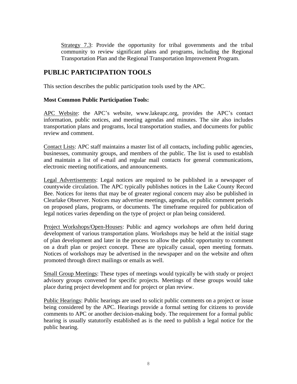Strategy 7.3: Provide the opportunity for tribal governments and the tribal community to review significant plans and programs, including the Regional Transportation Plan and the Regional Transportation Improvement Program.

## **PUBLIC PARTICIPATION TOOLS**

This section describes the public participation tools used by the APC.

#### **Most Common Public Participation Tools:**

APC Website: the APC's website, www.lakeapc.org, provides the APC's contact information, public notices, and meeting agendas and minutes. The site also includes transportation plans and programs, local transportation studies, and documents for public review and comment.

Contact Lists: APC staff maintains a master list of all contacts, including public agencies, businesses, community groups, and members of the public. The list is used to establish and maintain a list of e-mail and regular mail contacts for general communications, electronic meeting notifications, and announcements.

Legal Advertisements: Legal notices are required to be published in a newspaper of countywide circulation. The APC typically publishes notices in the Lake County Record Bee. Notices for items that may be of greater regional concern may also be published in Clearlake Observer. Notices may advertise meetings, agendas, or public comment periods on proposed plans, programs, or documents. The timeframe required for publication of legal notices varies depending on the type of project or plan being considered.

Project Workshops/Open-Houses: Public and agency workshops are often held during development of various transportation plans. Workshops may be held at the initial stage of plan development and later in the process to allow the public opportunity to comment on a draft plan or project concept. These are typically casual, open meeting formats. Notices of workshops may be advertised in the newspaper and on the website and often promoted through direct mailings or emails as well.

Small Group Meetings: These types of meetings would typically be with study or project advisory groups convened for specific projects. Meetings of these groups would take place during project development and for project or plan review.

Public Hearings: Public hearings are used to solicit public comments on a project or issue being considered by the APC. Hearings provide a formal setting for citizens to provide comments to APC or another decision-making body. The requirement for a formal public hearing is usually statutorily established as is the need to publish a legal notice for the public hearing.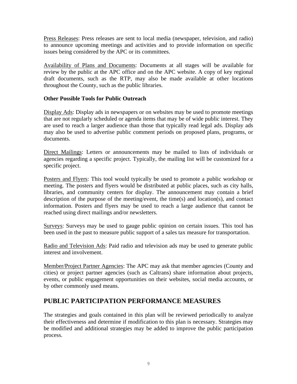Press Releases: Press releases are sent to local media (newspaper, television, and radio) to announce upcoming meetings and activities and to provide information on specific issues being considered by the APC or its committees.

Availability of Plans and Documents: Documents at all stages will be available for review by the public at the APC office and on the APC website. A copy of key regional draft documents, such as the RTP, may also be made available at other locations throughout the County, such as the public libraries.

### **Other Possible Tools for Public Outreach**

Display Ads: Display ads in newspapers or on websites may be used to promote meetings that are not regularly scheduled or agenda items that may be of wide public interest. They are used to reach a larger audience than those that typically read legal ads. Display ads may also be used to advertise public comment periods on proposed plans, programs, or documents.

Direct Mailings: Letters or announcements may be mailed to lists of individuals or agencies regarding a specific project. Typically, the mailing list will be customized for a specific project.

Posters and Flyers: This tool would typically be used to promote a public workshop or meeting. The posters and flyers would be distributed at public places, such as city halls, libraries, and community centers for display. The announcement may contain a brief description of the purpose of the meeting/event, the time(s) and location(s), and contact information. Posters and flyers may be used to reach a large audience that cannot be reached using direct mailings and/or newsletters.

Surveys: Surveys may be used to gauge public opinion on certain issues. This tool has been used in the past to measure public support of a sales tax measure for transportation.

Radio and Television Ads: Paid radio and television ads may be used to generate public interest and involvement.

Member/Project Partner Agencies: The APC may ask that member agencies (County and cities) or project partner agencies (such as Caltrans) share information about projects, events, or public engagement opportunities on their websites, social media accounts, or by other commonly used means.

## **PUBLIC PARTICIPATION PERFORMANCE MEASURES**

The strategies and goals contained in this plan will be reviewed periodically to analyze their effectiveness and determine if modification to this plan is necessary. Strategies may be modified and additional strategies may be added to improve the public participation process.